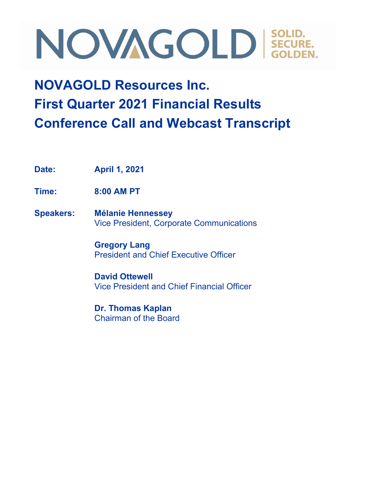### **NOVAGOLD Resources Inc. First Quarter 2021 Financial Results Conference Call and Webcast Transcript**

**Date: April 1, 2021**

**Time: 8:00 AM PT**

**Speakers: Mélanie Hennessey** Vice President, Corporate Communications

> **Gregory Lang** President and Chief Executive Officer

**David Ottewell** Vice President and Chief Financial Officer

**Dr. Thomas Kaplan** Chairman of the Board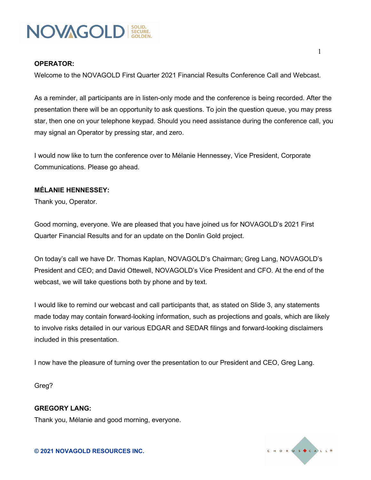

#### **OPERATOR:**

Welcome to the NOVAGOLD First Quarter 2021 Financial Results Conference Call and Webcast.

As a reminder, all participants are in listen-only mode and the conference is being recorded. After the presentation there will be an opportunity to ask questions. To join the question queue, you may press star, then one on your telephone keypad. Should you need assistance during the conference call, you may signal an Operator by pressing star, and zero.

I would now like to turn the conference over to Mélanie Hennessey, Vice President, Corporate Communications. Please go ahead.

#### **MÉLANIE HENNESSEY:**

Thank you, Operator.

Good morning, everyone. We are pleased that you have joined us for NOVAGOLD's 2021 First Quarter Financial Results and for an update on the Donlin Gold project.

On today's call we have Dr. Thomas Kaplan, NOVAGOLD's Chairman; Greg Lang, NOVAGOLD's President and CEO; and David Ottewell, NOVAGOLD's Vice President and CFO. At the end of the webcast, we will take questions both by phone and by text.

I would like to remind our webcast and call participants that, as stated on Slide 3, any statements made today may contain forward-looking information, such as projections and goals, which are likely to involve risks detailed in our various EDGAR and SEDAR filings and forward-looking disclaimers included in this presentation.

I now have the pleasure of turning over the presentation to our President and CEO, Greg Lang.

Greg?

**GREGORY LANG:** Thank you, Mélanie and good morning, everyone.

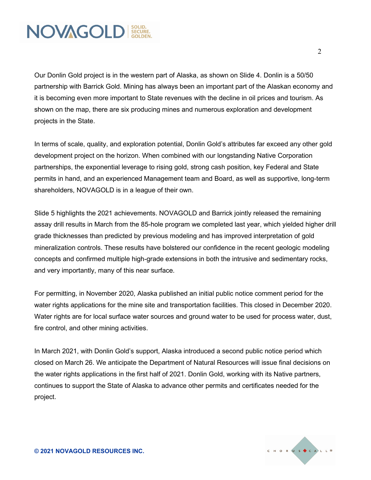

Our Donlin Gold project is in the western part of Alaska, as shown on Slide 4. Donlin is a 50/50 partnership with Barrick Gold. Mining has always been an important part of the Alaskan economy and it is becoming even more important to State revenues with the decline in oil prices and tourism. As shown on the map, there are six producing mines and numerous exploration and development projects in the State.

In terms of scale, quality, and exploration potential, Donlin Gold's attributes far exceed any other gold development project on the horizon. When combined with our longstanding Native Corporation partnerships, the exponential leverage to rising gold, strong cash position, key Federal and State permits in hand, and an experienced Management team and Board, as well as supportive, long-term shareholders, NOVAGOLD is in a league of their own.

Slide 5 highlights the 2021 achievements. NOVAGOLD and Barrick jointly released the remaining assay drill results in March from the 85-hole program we completed last year, which yielded higher drill grade thicknesses than predicted by previous modeling and has improved interpretation of gold mineralization controls. These results have bolstered our confidence in the recent geologic modeling concepts and confirmed multiple high-grade extensions in both the intrusive and sedimentary rocks, and very importantly, many of this near surface.

For permitting, in November 2020, Alaska published an initial public notice comment period for the water rights applications for the mine site and transportation facilities. This closed in December 2020. Water rights are for local surface water sources and ground water to be used for process water, dust, fire control, and other mining activities.

In March 2021, with Donlin Gold's support, Alaska introduced a second public notice period which closed on March 26. We anticipate the Department of Natural Resources will issue final decisions on the water rights applications in the first half of 2021. Donlin Gold, working with its Native partners, continues to support the State of Alaska to advance other permits and certificates needed for the project.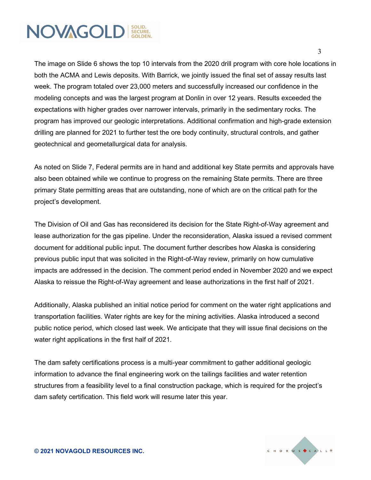The image on Slide 6 shows the top 10 intervals from the 2020 drill program with core hole locations in both the ACMA and Lewis deposits. With Barrick, we jointly issued the final set of assay results last week. The program totaled over 23,000 meters and successfully increased our confidence in the modeling concepts and was the largest program at Donlin in over 12 years. Results exceeded the expectations with higher grades over narrower intervals, primarily in the sedimentary rocks. The program has improved our geologic interpretations. Additional confirmation and high-grade extension drilling are planned for 2021 to further test the ore body continuity, structural controls, and gather geotechnical and geometallurgical data for analysis.

As noted on Slide 7, Federal permits are in hand and additional key State permits and approvals have also been obtained while we continue to progress on the remaining State permits. There are three primary State permitting areas that are outstanding, none of which are on the critical path for the project's development.

The Division of Oil and Gas has reconsidered its decision for the State Right-of-Way agreement and lease authorization for the gas pipeline. Under the reconsideration, Alaska issued a revised comment document for additional public input. The document further describes how Alaska is considering previous public input that was solicited in the Right-of-Way review, primarily on how cumulative impacts are addressed in the decision. The comment period ended in November 2020 and we expect Alaska to reissue the Right-of-Way agreement and lease authorizations in the first half of 2021.

Additionally, Alaska published an initial notice period for comment on the water right applications and transportation facilities. Water rights are key for the mining activities. Alaska introduced a second public notice period, which closed last week. We anticipate that they will issue final decisions on the water right applications in the first half of 2021.

The dam safety certifications process is a multi-year commitment to gather additional geologic information to advance the final engineering work on the tailings facilities and water retention structures from a feasibility level to a final construction package, which is required for the project's dam safety certification. This field work will resume later this year.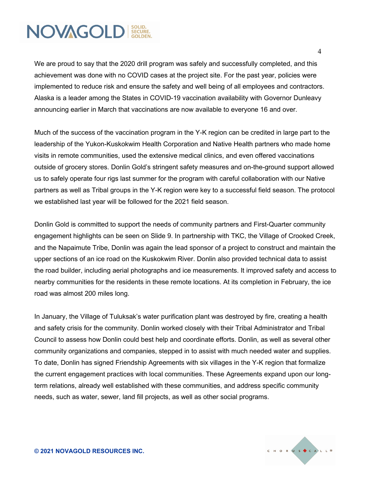We are proud to say that the 2020 drill program was safely and successfully completed, and this achievement was done with no COVID cases at the project site. For the past year, policies were implemented to reduce risk and ensure the safety and well being of all employees and contractors. Alaska is a leader among the States in COVID-19 vaccination availability with Governor Dunleavy announcing earlier in March that vaccinations are now available to everyone 16 and over.

Much of the success of the vaccination program in the Y-K region can be credited in large part to the leadership of the Yukon-Kuskokwim Health Corporation and Native Health partners who made home visits in remote communities, used the extensive medical clinics, and even offered vaccinations outside of grocery stores. Donlin Gold's stringent safety measures and on-the-ground support allowed us to safely operate four rigs last summer for the program with careful collaboration with our Native partners as well as Tribal groups in the Y-K region were key to a successful field season. The protocol we established last year will be followed for the 2021 field season.

Donlin Gold is committed to support the needs of community partners and First-Quarter community engagement highlights can be seen on Slide 9. In partnership with TKC, the Village of Crooked Creek, and the Napaimute Tribe, Donlin was again the lead sponsor of a project to construct and maintain the upper sections of an ice road on the Kuskokwim River. Donlin also provided technical data to assist the road builder, including aerial photographs and ice measurements. It improved safety and access to nearby communities for the residents in these remote locations. At its completion in February, the ice road was almost 200 miles long.

In January, the Village of Tuluksak's water purification plant was destroyed by fire, creating a health and safety crisis for the community. Donlin worked closely with their Tribal Administrator and Tribal Council to assess how Donlin could best help and coordinate efforts. Donlin, as well as several other community organizations and companies, stepped in to assist with much needed water and supplies. To date, Donlin has signed Friendship Agreements with six villages in the Y-K region that formalize the current engagement practices with local communities. These Agreements expand upon our longterm relations, already well established with these communities, and address specific community needs, such as water, sewer, land fill projects, as well as other social programs.

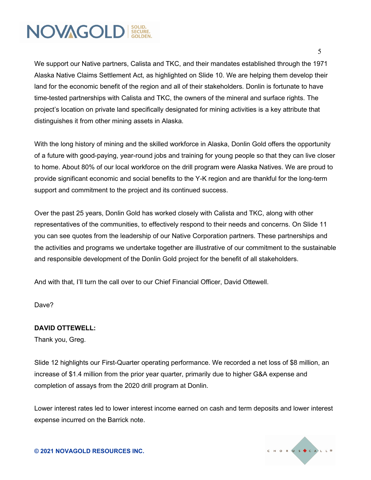We support our Native partners, Calista and TKC, and their mandates established through the 1971 Alaska Native Claims Settlement Act, as highlighted on Slide 10. We are helping them develop their land for the economic benefit of the region and all of their stakeholders. Donlin is fortunate to have time-tested partnerships with Calista and TKC, the owners of the mineral and surface rights. The project's location on private land specifically designated for mining activities is a key attribute that distinguishes it from other mining assets in Alaska.

With the long history of mining and the skilled workforce in Alaska, Donlin Gold offers the opportunity of a future with good-paying, year-round jobs and training for young people so that they can live closer to home. About 80% of our local workforce on the drill program were Alaska Natives. We are proud to provide significant economic and social benefits to the Y-K region and are thankful for the long-term support and commitment to the project and its continued success.

Over the past 25 years, Donlin Gold has worked closely with Calista and TKC, along with other representatives of the communities, to effectively respond to their needs and concerns. On Slide 11 you can see quotes from the leadership of our Native Corporation partners. These partnerships and the activities and programs we undertake together are illustrative of our commitment to the sustainable and responsible development of the Donlin Gold project for the benefit of all stakeholders.

And with that, I'll turn the call over to our Chief Financial Officer, David Ottewell.

Dave?

#### **DAVID OTTEWELL:**

Thank you, Greg.

Slide 12 highlights our First-Quarter operating performance. We recorded a net loss of \$8 million, an increase of \$1.4 million from the prior year quarter, primarily due to higher G&A expense and completion of assays from the 2020 drill program at Donlin.

Lower interest rates led to lower interest income earned on cash and term deposits and lower interest expense incurred on the Barrick note.

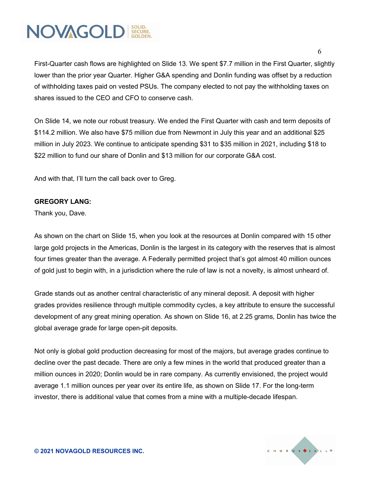First-Quarter cash flows are highlighted on Slide 13. We spent \$7.7 million in the First Quarter, slightly lower than the prior year Quarter. Higher G&A spending and Donlin funding was offset by a reduction of withholding taxes paid on vested PSUs. The company elected to not pay the withholding taxes on shares issued to the CEO and CFO to conserve cash.

On Slide 14, we note our robust treasury. We ended the First Quarter with cash and term deposits of \$114.2 million. We also have \$75 million due from Newmont in July this year and an additional \$25 million in July 2023. We continue to anticipate spending \$31 to \$35 million in 2021, including \$18 to \$22 million to fund our share of Donlin and \$13 million for our corporate G&A cost.

And with that, I'll turn the call back over to Greg.

#### **GREGORY LANG:**

Thank you, Dave.

As shown on the chart on Slide 15, when you look at the resources at Donlin compared with 15 other large gold projects in the Americas, Donlin is the largest in its category with the reserves that is almost four times greater than the average. A Federally permitted project that's got almost 40 million ounces of gold just to begin with, in a jurisdiction where the rule of law is not a novelty, is almost unheard of.

Grade stands out as another central characteristic of any mineral deposit. A deposit with higher grades provides resilience through multiple commodity cycles, a key attribute to ensure the successful development of any great mining operation. As shown on Slide 16, at 2.25 grams, Donlin has twice the global average grade for large open-pit deposits.

Not only is global gold production decreasing for most of the majors, but average grades continue to decline over the past decade. There are only a few mines in the world that produced greater than a million ounces in 2020; Donlin would be in rare company. As currently envisioned, the project would average 1.1 million ounces per year over its entire life, as shown on Slide 17. For the long-term investor, there is additional value that comes from a mine with a multiple-decade lifespan.

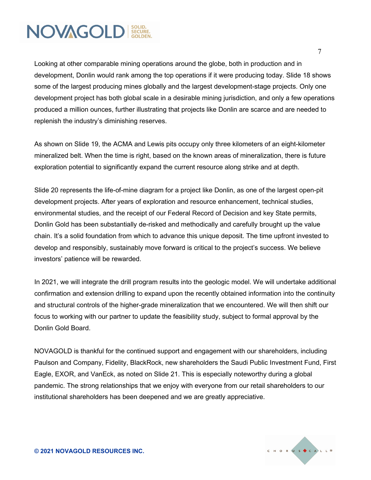Looking at other comparable mining operations around the globe, both in production and in development, Donlin would rank among the top operations if it were producing today. Slide 18 shows some of the largest producing mines globally and the largest development-stage projects. Only one development project has both global scale in a desirable mining jurisdiction, and only a few operations produced a million ounces, further illustrating that projects like Donlin are scarce and are needed to replenish the industry's diminishing reserves.

As shown on Slide 19, the ACMA and Lewis pits occupy only three kilometers of an eight-kilometer mineralized belt. When the time is right, based on the known areas of mineralization, there is future exploration potential to significantly expand the current resource along strike and at depth.

Slide 20 represents the life-of-mine diagram for a project like Donlin, as one of the largest open-pit development projects. After years of exploration and resource enhancement, technical studies, environmental studies, and the receipt of our Federal Record of Decision and key State permits, Donlin Gold has been substantially de-risked and methodically and carefully brought up the value chain. It's a solid foundation from which to advance this unique deposit. The time upfront invested to develop and responsibly, sustainably move forward is critical to the project's success. We believe investors' patience will be rewarded.

In 2021, we will integrate the drill program results into the geologic model. We will undertake additional confirmation and extension drilling to expand upon the recently obtained information into the continuity and structural controls of the higher-grade mineralization that we encountered. We will then shift our focus to working with our partner to update the feasibility study, subject to formal approval by the Donlin Gold Board.

NOVAGOLD is thankful for the continued support and engagement with our shareholders, including Paulson and Company, Fidelity, BlackRock, new shareholders the Saudi Public Investment Fund, First Eagle, EXOR, and VanEck, as noted on Slide 21. This is especially noteworthy during a global pandemic. The strong relationships that we enjoy with everyone from our retail shareholders to our institutional shareholders has been deepened and we are greatly appreciative.

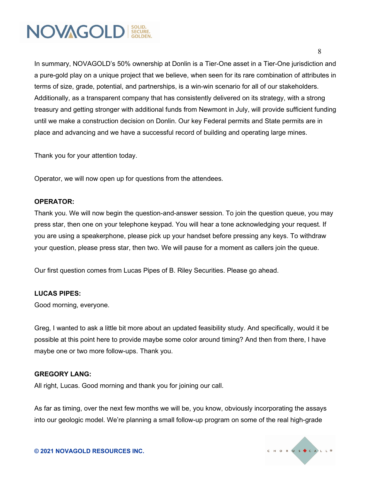

In summary, NOVAGOLD's 50% ownership at Donlin is a Tier-One asset in a Tier-One jurisdiction and a pure-gold play on a unique project that we believe, when seen for its rare combination of attributes in terms of size, grade, potential, and partnerships, is a win-win scenario for all of our stakeholders. Additionally, as a transparent company that has consistently delivered on its strategy, with a strong treasury and getting stronger with additional funds from Newmont in July, will provide sufficient funding until we make a construction decision on Donlin. Our key Federal permits and State permits are in place and advancing and we have a successful record of building and operating large mines.

Thank you for your attention today.

Operator, we will now open up for questions from the attendees.

#### **OPERATOR:**

Thank you. We will now begin the question-and-answer session. To join the question queue, you may press star, then one on your telephone keypad. You will hear a tone acknowledging your request. If you are using a speakerphone, please pick up your handset before pressing any keys. To withdraw your question, please press star, then two. We will pause for a moment as callers join the queue.

Our first question comes from Lucas Pipes of B. Riley Securities. Please go ahead.

#### **LUCAS PIPES:**

Good morning, everyone.

Greg, I wanted to ask a little bit more about an updated feasibility study. And specifically, would it be possible at this point here to provide maybe some color around timing? And then from there, I have maybe one or two more follow-ups. Thank you.

#### **GREGORY LANG:**

All right, Lucas. Good morning and thank you for joining our call.

As far as timing, over the next few months we will be, you know, obviously incorporating the assays into our geologic model. We're planning a small follow-up program on some of the real high-grade

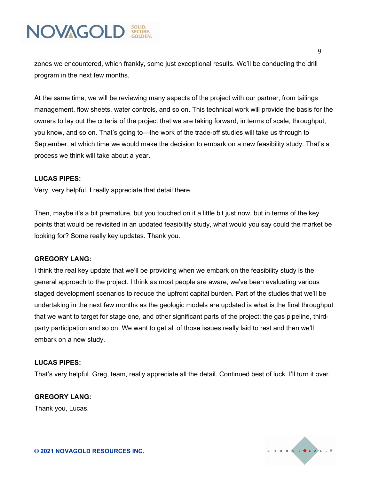zones we encountered, which frankly, some just exceptional results. We'll be conducting the drill program in the next few months.

At the same time, we will be reviewing many aspects of the project with our partner, from tailings management, flow sheets, water controls, and so on. This technical work will provide the basis for the owners to lay out the criteria of the project that we are taking forward, in terms of scale, throughput, you know, and so on. That's going to—the work of the trade-off studies will take us through to September, at which time we would make the decision to embark on a new feasibility study. That's a process we think will take about a year.

#### **LUCAS PIPES:**

Very, very helpful. I really appreciate that detail there.

Then, maybe it's a bit premature, but you touched on it a little bit just now, but in terms of the key points that would be revisited in an updated feasibility study, what would you say could the market be looking for? Some really key updates. Thank you.

#### **GREGORY LANG:**

I think the real key update that we'll be providing when we embark on the feasibility study is the general approach to the project. I think as most people are aware, we've been evaluating various staged development scenarios to reduce the upfront capital burden. Part of the studies that we'll be undertaking in the next few months as the geologic models are updated is what is the final throughput that we want to target for stage one, and other significant parts of the project: the gas pipeline, thirdparty participation and so on. We want to get all of those issues really laid to rest and then we'll embark on a new study.

#### **LUCAS PIPES:**

That's very helpful. Greg, team, really appreciate all the detail. Continued best of luck. I'll turn it over.

#### **GREGORY LANG:**

Thank you, Lucas.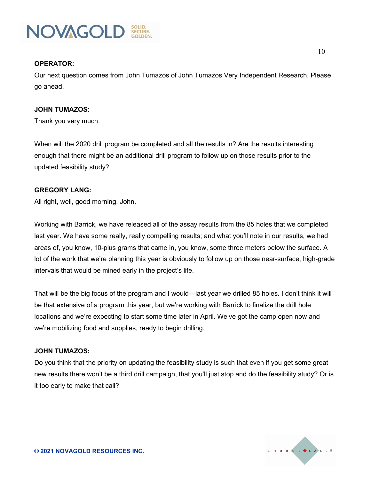

#### **OPERATOR:**

Our next question comes from John Tumazos of John Tumazos Very Independent Research. Please go ahead.

#### **JOHN TUMAZOS:**

Thank you very much.

When will the 2020 drill program be completed and all the results in? Are the results interesting enough that there might be an additional drill program to follow up on those results prior to the updated feasibility study?

#### **GREGORY LANG:**

All right, well, good morning, John.

Working with Barrick, we have released all of the assay results from the 85 holes that we completed last year. We have some really, really compelling results; and what you'll note in our results, we had areas of, you know, 10-plus grams that came in, you know, some three meters below the surface. A lot of the work that we're planning this year is obviously to follow up on those near-surface, high-grade intervals that would be mined early in the project's life.

That will be the big focus of the program and I would—last year we drilled 85 holes. I don't think it will be that extensive of a program this year, but we're working with Barrick to finalize the drill hole locations and we're expecting to start some time later in April. We've got the camp open now and we're mobilizing food and supplies, ready to begin drilling.

#### **JOHN TUMAZOS:**

Do you think that the priority on updating the feasibility study is such that even if you get some great new results there won't be a third drill campaign, that you'll just stop and do the feasibility study? Or is it too early to make that call?

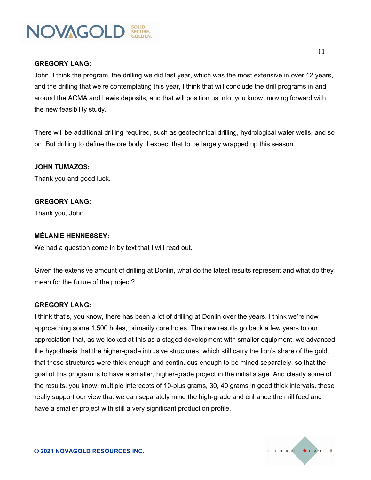#### **GREGORY LANG:**

John, I think the program, the drilling we did last year, which was the most extensive in over 12 years, and the drilling that we're contemplating this year, I think that will conclude the drill programs in and around the ACMA and Lewis deposits, and that will position us into, you know, moving forward with the new feasibility study.

There will be additional drilling required, such as geotechnical drilling, hydrological water wells, and so on. But drilling to define the ore body, I expect that to be largely wrapped up this season.

#### **JOHN TUMAZOS:**

Thank you and good luck.

#### **GREGORY LANG:**

Thank you, John.

#### **MÉLANIE HENNESSEY:**

We had a question come in by text that I will read out.

Given the extensive amount of drilling at Donlin, what do the latest results represent and what do they mean for the future of the project?

#### **GREGORY LANG:**

I think that's, you know, there has been a lot of drilling at Donlin over the years. I think we're now approaching some 1,500 holes, primarily core holes. The new results go back a few years to our appreciation that, as we looked at this as a staged development with smaller equipment, we advanced the hypothesis that the higher-grade intrusive structures, which still carry the lion's share of the gold, that these structures were thick enough and continuous enough to be mined separately, so that the goal of this program is to have a smaller, higher-grade project in the initial stage. And clearly some of the results, you know, multiple intercepts of 10-plus grams, 30, 40 grams in good thick intervals, these really support our view that we can separately mine the high-grade and enhance the mill feed and have a smaller project with still a very significant production profile.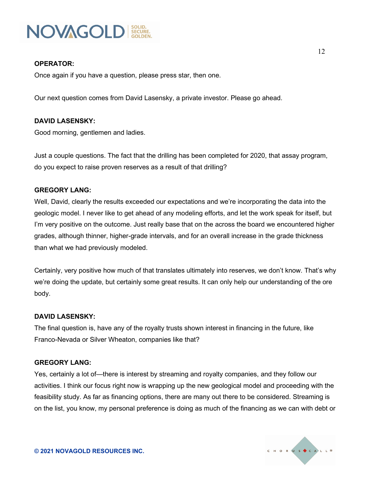

#### **OPERATOR:**

Once again if you have a question, please press star, then one.

Our next question comes from David Lasensky, a private investor. Please go ahead.

#### **DAVID LASENSKY:**

Good morning, gentlemen and ladies.

Just a couple questions. The fact that the drilling has been completed for 2020, that assay program, do you expect to raise proven reserves as a result of that drilling?

#### **GREGORY LANG:**

Well, David, clearly the results exceeded our expectations and we're incorporating the data into the geologic model. I never like to get ahead of any modeling efforts, and let the work speak for itself, but I'm very positive on the outcome. Just really base that on the across the board we encountered higher grades, although thinner, higher-grade intervals, and for an overall increase in the grade thickness than what we had previously modeled.

Certainly, very positive how much of that translates ultimately into reserves, we don't know. That's why we're doing the update, but certainly some great results. It can only help our understanding of the ore body.

#### **DAVID LASENSKY:**

The final question is, have any of the royalty trusts shown interest in financing in the future, like Franco-Nevada or Silver Wheaton, companies like that?

#### **GREGORY LANG:**

Yes, certainly a lot of—there is interest by streaming and royalty companies, and they follow our activities. I think our focus right now is wrapping up the new geological model and proceeding with the feasibility study. As far as financing options, there are many out there to be considered. Streaming is on the list, you know, my personal preference is doing as much of the financing as we can with debt or

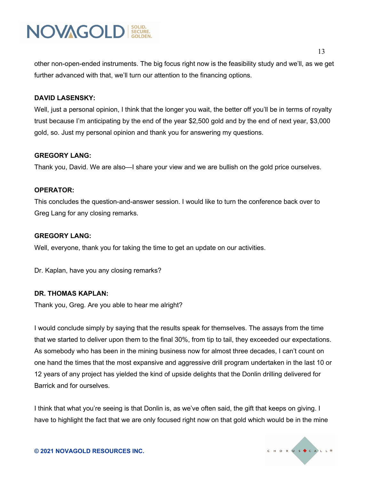

other non-open-ended instruments. The big focus right now is the feasibility study and we'll, as we get further advanced with that, we'll turn our attention to the financing options.

#### **DAVID LASENSKY:**

Well, just a personal opinion, I think that the longer you wait, the better off you'll be in terms of royalty trust because I'm anticipating by the end of the year \$2,500 gold and by the end of next year, \$3,000 gold, so. Just my personal opinion and thank you for answering my questions.

#### **GREGORY LANG:**

Thank you, David. We are also—I share your view and we are bullish on the gold price ourselves.

#### **OPERATOR:**

This concludes the question-and-answer session. I would like to turn the conference back over to Greg Lang for any closing remarks.

#### **GREGORY LANG:**

Well, everyone, thank you for taking the time to get an update on our activities.

Dr. Kaplan, have you any closing remarks?

#### **DR. THOMAS KAPLAN:**

Thank you, Greg. Are you able to hear me alright?

I would conclude simply by saying that the results speak for themselves. The assays from the time that we started to deliver upon them to the final 30%, from tip to tail, they exceeded our expectations. As somebody who has been in the mining business now for almost three decades, I can't count on one hand the times that the most expansive and aggressive drill program undertaken in the last 10 or 12 years of any project has yielded the kind of upside delights that the Donlin drilling delivered for Barrick and for ourselves.

I think that what you're seeing is that Donlin is, as we've often said, the gift that keeps on giving. I have to highlight the fact that we are only focused right now on that gold which would be in the mine

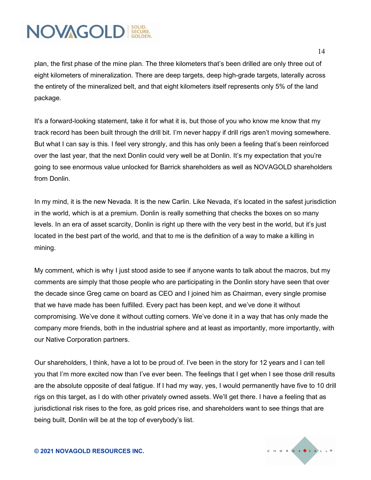14

plan, the first phase of the mine plan. The three kilometers that's been drilled are only three out of eight kilometers of mineralization. There are deep targets, deep high-grade targets, laterally across the entirety of the mineralized belt, and that eight kilometers itself represents only 5% of the land package.

It's a forward-looking statement, take it for what it is, but those of you who know me know that my track record has been built through the drill bit. I'm never happy if drill rigs aren't moving somewhere. But what I can say is this. I feel very strongly, and this has only been a feeling that's been reinforced over the last year, that the next Donlin could very well be at Donlin. It's my expectation that you're going to see enormous value unlocked for Barrick shareholders as well as NOVAGOLD shareholders from Donlin.

In my mind, it is the new Nevada. It is the new Carlin. Like Nevada, it's located in the safest jurisdiction in the world, which is at a premium. Donlin is really something that checks the boxes on so many levels. In an era of asset scarcity, Donlin is right up there with the very best in the world, but it's just located in the best part of the world, and that to me is the definition of a way to make a killing in mining.

My comment, which is why I just stood aside to see if anyone wants to talk about the macros, but my comments are simply that those people who are participating in the Donlin story have seen that over the decade since Greg came on board as CEO and I joined him as Chairman, every single promise that we have made has been fulfilled. Every pact has been kept, and we've done it without compromising. We've done it without cutting corners. We've done it in a way that has only made the company more friends, both in the industrial sphere and at least as importantly, more importantly, with our Native Corporation partners.

Our shareholders, I think, have a lot to be proud of. I've been in the story for 12 years and I can tell you that I'm more excited now than I've ever been. The feelings that I get when I see those drill results are the absolute opposite of deal fatigue. If I had my way, yes, I would permanently have five to 10 drill rigs on this target, as I do with other privately owned assets. We'll get there. I have a feeling that as jurisdictional risk rises to the fore, as gold prices rise, and shareholders want to see things that are being built, Donlin will be at the top of everybody's list.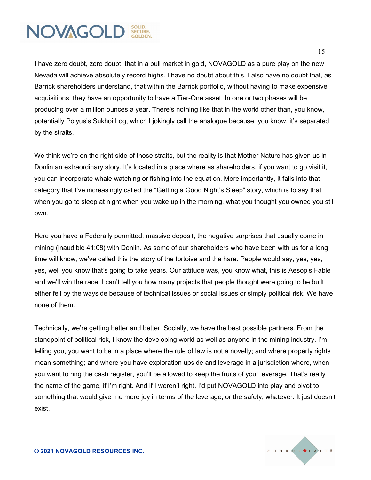I have zero doubt, zero doubt, that in a bull market in gold, NOVAGOLD as a pure play on the new Nevada will achieve absolutely record highs. I have no doubt about this. I also have no doubt that, as Barrick shareholders understand, that within the Barrick portfolio, without having to make expensive acquisitions, they have an opportunity to have a Tier-One asset. In one or two phases will be producing over a million ounces a year. There's nothing like that in the world other than, you know, potentially Polyus's Sukhoi Log, which I jokingly call the analogue because, you know, it's separated by the straits.

We think we're on the right side of those straits, but the reality is that Mother Nature has given us in Donlin an extraordinary story. It's located in a place where as shareholders, if you want to go visit it, you can incorporate whale watching or fishing into the equation. More importantly, it falls into that category that I've increasingly called the "Getting a Good Night's Sleep" story, which is to say that when you go to sleep at night when you wake up in the morning, what you thought you owned you still own.

Here you have a Federally permitted, massive deposit, the negative surprises that usually come in mining (inaudible 41:08) with Donlin. As some of our shareholders who have been with us for a long time will know, we've called this the story of the tortoise and the hare. People would say, yes, yes, yes, well you know that's going to take years. Our attitude was, you know what, this is Aesop's Fable and we'll win the race. I can't tell you how many projects that people thought were going to be built either fell by the wayside because of technical issues or social issues or simply political risk. We have none of them.

Technically, we're getting better and better. Socially, we have the best possible partners. From the standpoint of political risk, I know the developing world as well as anyone in the mining industry. I'm telling you, you want to be in a place where the rule of law is not a novelty; and where property rights mean something; and where you have exploration upside and leverage in a jurisdiction where, when you want to ring the cash register, you'll be allowed to keep the fruits of your leverage. That's really the name of the game, if I'm right. And if I weren't right, I'd put NOVAGOLD into play and pivot to something that would give me more joy in terms of the leverage, or the safety, whatever. It just doesn't exist.